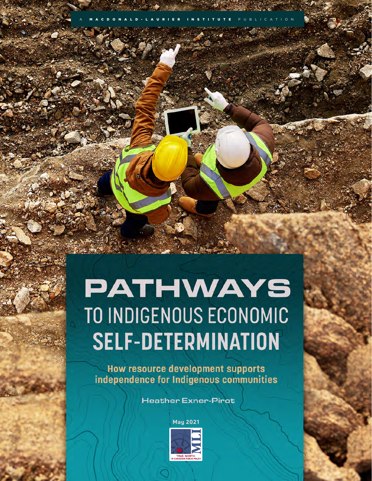# **PATHWAYS** TO INDIGENOUS ECONOMIC **SELF-DETERMINATION**

A MACDONALD-LAURIER INSTITUTE PUBLICATION

**How resource development supports** independence for Indigenous communities

**Heather Exner-Pirot** 

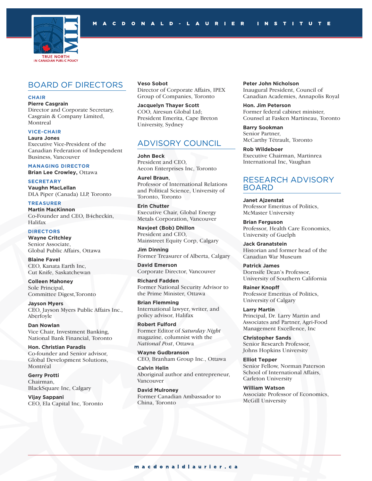

### BOARD OF DIRECTORS

#### **CHAIR**

**Pierre Casgrain** Director and Corporate Secretary, Casgrain & Company Limited, Montreal

**VICE-CHAIR**

**Laura Jones**

Executive Vice-President of the Canadian Federation of Independent Business, Vancouver

**MANAGING DIRECTOR**

**Brian Lee Crowley,** Ottawa

**SECRETARY Vaughn MacLellan** DLA Piper (Canada) LLP, Toronto

**TREASURER Martin MacKinnon** Co-Founder and CEO, B4checkin, Halifax

#### **DIRECTORS**

**Wayne Critchley** Senior Associate, Global Public Affairs, Ottawa

**Blaine Favel** CEO, Kanata Earth Inc, Cut Knife, Saskatchewan

**Colleen Mahoney** Sole Principal, Committee Digest,Toronto

**Jayson Myers** CEO, Jayson Myers Public Affairs Inc., Aberfoyle

**Dan Nowlan** Vice Chair, Investment Banking, National Bank Financial, Toronto

**Hon. Christian Paradis** Co-founder and Senior advisor, Global Development Solutions, Montréal

**Gerry Protti** Chairman, BlackSquare Inc, Calgary

**Vijay Sappani** CEO, Ela Capital Inc, Toronto

**Veso Sobot** Director of Corporate Affairs, IPEX Group of Companies, Toronto

**Jacquelyn Thayer Scott** COO, Airesun Global Ltd; President Emerita, Cape Breton University, Sydney

### ADVISORY COUNCIL

**John Beck** President and CEO, Aecon Enterprises Inc, Toronto

**Aurel Braun**, Professor of International Relations and Political Science, University of Toronto, Toronto

**Erin Chutter** Executive Chair, Global Energy Metals Corporation, Vancouver

**Navjeet (Bob) Dhillon** President and CEO, Mainstreet Equity Corp, Calgary

**Jim Dinning** Former Treasurer of Alberta, Calgary

**David Emerson** Corporate Director, Vancouver

**Richard Fadden** Former National Security Advisor to the Prime Minister, Ottawa

**Brian Flemming** International lawyer, writer, and policy advisor, Halifax

**Robert Fulford** Former Editor of *Saturday Night* magazine, columnist with the *National Post*, Ottawa

**Wayne Gudbranson** CEO, Branham Group Inc., Ottawa

**Calvin Helin** Aboriginal author and entrepreneur, Vancouver

**David Mulroney** Former Canadian Ambassador to China, Toronto

**Peter John Nicholson** Inaugural President, Council of Canadian Academies, Annapolis Royal

**Hon. Jim Peterson**  Former federal cabinet minister, Counsel at Fasken Martineau, Toronto

**Barry Sookman** Senior Partner, McCarthy Tétrault, Toronto

**Rob Wildeboer** Executive Chairman, Martinrea International Inc, Vaughan

### RESEARCH ADVISORY BOARD

**Janet Ajzenstat** Professor Emeritus of Politics, McMaster University

**Brian Ferguson** Professor, Health Care Economics, University of Guelph

**Jack Granatstein** Historian and former head of the Canadian War Museum

**Patrick James** Dornsife Dean's Professor, University of Southern California

**Rainer Knopff**  Professor Emeritus of Politics, University of Calgary

**Larry Martin** Principal, Dr. Larry Martin and Associates and Partner, Agri-Food Management Excellence, Inc

**Christopher Sands**  Senior Research Professor, Johns Hopkins University

**Elliot Tepper** Senior Fellow, Norman Paterson School of International Affairs, Carleton University

**William Watson** Associate Professor of Economics, McGill University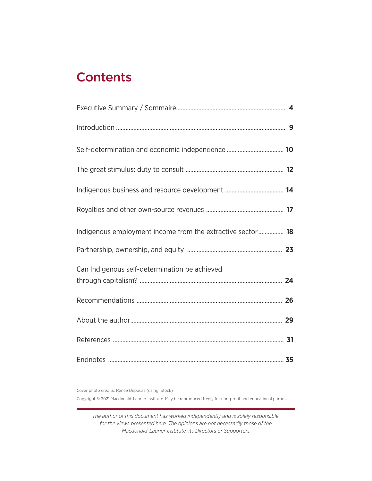# **Contents**

| Indigenous employment income from the extractive sector 18 |  |
|------------------------------------------------------------|--|
|                                                            |  |
| Can Indigenous self-determination be achieved              |  |
|                                                            |  |
|                                                            |  |
|                                                            |  |
|                                                            |  |

Cover photo credits: Renée Depocas (using iStock)

Copyright © 2021 Macdonald-Laurier Institute. May be reproduced freely for non-profit and educational purposes.

*The author of this document has worked independently and is solely responsible for the views presented here. The opinions are not necessarily those of the Macdonald-Laurier Institute, its Directors or Supporters.*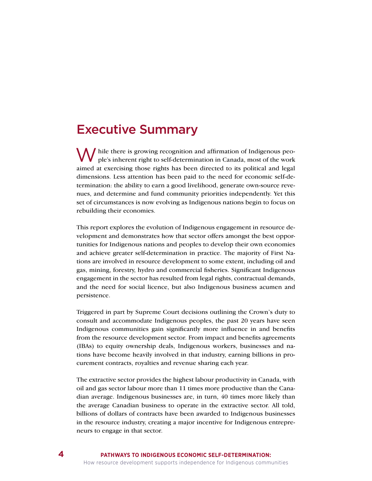### Executive Summary

M ile there is growing recognition and affirmation of Indigenous people's inherent right to self-determination in Canada, most of the work aimed at exercising those rights has been directed to its political and legal dimensions. Less attention has been paid to the need for economic self-determination: the ability to earn a good livelihood, generate own-source revenues, and determine and fund community priorities independently. Yet this set of circumstances is now evolving as Indigenous nations begin to focus on rebuilding their economies.

This report explores the evolution of Indigenous engagement in resource development and demonstrates how that sector offers amongst the best opportunities for Indigenous nations and peoples to develop their own economies and achieve greater self-determination in practice. The majority of First Nations are involved in resource development to some extent, including oil and gas, mining, forestry, hydro and commercial fisheries. Significant Indigenous engagement in the sector has resulted from legal rights, contractual demands, and the need for social licence, but also Indigenous business acumen and persistence.

Triggered in part by Supreme Court decisions outlining the Crown's duty to consult and accommodate Indigenous peoples, the past 20 years have seen Indigenous communities gain significantly more influence in and benefits from the resource development sector. From impact and benefits agreements (IBAs) to equity ownership deals, Indigenous workers, businesses and nations have become heavily involved in that industry, earning billions in procurement contracts, royalties and revenue sharing each year.

The extractive sector provides the highest labour productivity in Canada, with oil and gas sector labour more than 11 times more productive than the Canadian average. Indigenous businesses are, in turn, 40 times more likely than the average Canadian business to operate in the extractive sector. All told, billions of dollars of contracts have been awarded to Indigenous businesses in the resource industry, creating a major incentive for Indigenous entrepreneurs to engage in that sector.

**4**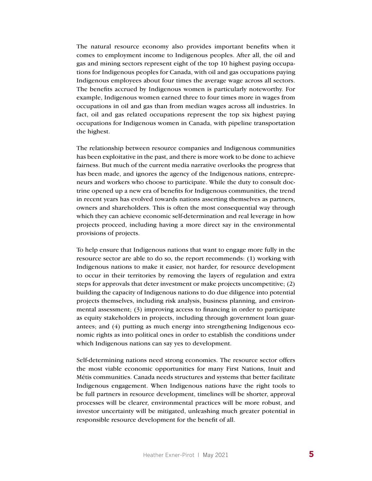The natural resource economy also provides important benefits when it comes to employment income to Indigenous peoples. After all, the oil and gas and mining sectors represent eight of the top 10 highest paying occupations for Indigenous peoples for Canada, with oil and gas occupations paying Indigenous employees about four times the average wage across all sectors. The benefits accrued by Indigenous women is particularly noteworthy. For example, Indigenous women earned three to four times more in wages from occupations in oil and gas than from median wages across all industries. In fact, oil and gas related occupations represent the top six highest paying occupations for Indigenous women in Canada, with pipeline transportation the highest.

The relationship between resource companies and Indigenous communities has been exploitative in the past, and there is more work to be done to achieve fairness. But much of the current media narrative overlooks the progress that has been made, and ignores the agency of the Indigenous nations, entrepreneurs and workers who choose to participate. While the duty to consult doctrine opened up a new era of benefits for Indigenous communities, the trend in recent years has evolved towards nations asserting themselves as partners, owners and shareholders. This is often the most consequential way through which they can achieve economic self-determination and real leverage in how projects proceed, including having a more direct say in the environmental provisions of projects.

To help ensure that Indigenous nations that want to engage more fully in the resource sector are able to do so, the report recommends: (1) working with Indigenous nations to make it easier, not harder, for resource development to occur in their territories by removing the layers of regulation and extra steps for approvals that deter investment or make projects uncompetitive; (2) building the capacity of Indigenous nations to do due diligence into potential projects themselves, including risk analysis, business planning, and environmental assessment; (3) improving access to financing in order to participate as equity stakeholders in projects, including through government loan guarantees; and (4) putting as much energy into strengthening Indigenous economic rights as into political ones in order to establish the conditions under which Indigenous nations can say yes to development.

Self-determining nations need strong economies. The resource sector offers the most viable economic opportunities for many First Nations, Inuit and Métis communities. Canada needs structures and systems that better facilitate Indigenous engagement. When Indigenous nations have the right tools to be full partners in resource development, timelines will be shorter, approval processes will be clearer, environmental practices will be more robust, and investor uncertainty will be mitigated, unleashing much greater potential in responsible resource development for the benefit of all.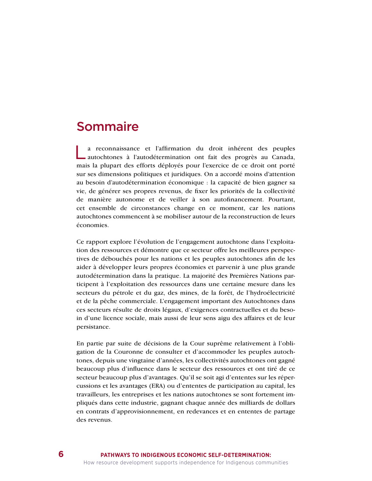### Sommaire

La reconnaissance et l'affirmation du droit inhérent des peuples autochtones à l'autodétermination ont fait des progrès au Canada, mais la plupart des efforts déployés pour l'exercice de ce droit ont porté sur ses dimensions politiques et juridiques. On a accordé moins d'attention au besoin d'autodétermination économique : la capacité de bien gagner sa vie, de générer ses propres revenus, de fixer les priorités de la collectivité de manière autonome et de veiller à son autofinancement. Pourtant, cet ensemble de circonstances change en ce moment, car les nations autochtones commencent à se mobiliser autour de la reconstruction de leurs économies.

Ce rapport explore l'évolution de l'engagement autochtone dans l'exploitation des ressources et démontre que ce secteur offre les meilleures perspectives de débouchés pour les nations et les peuples autochtones afin de les aider à développer leurs propres économies et parvenir à une plus grande autodétermination dans la pratique. La majorité des Premières Nations participent à l'exploitation des ressources dans une certaine mesure dans les secteurs du pétrole et du gaz, des mines, de la forêt, de l'hydroélectricité et de la pêche commerciale. L'engagement important des Autochtones dans ces secteurs résulte de droits légaux, d'exigences contractuelles et du besoin d'une licence sociale, mais aussi de leur sens aigu des affaires et de leur persistance.

En partie par suite de décisions de la Cour suprême relativement à l'obligation de la Couronne de consulter et d'accommoder les peuples autochtones, depuis une vingtaine d'années, les collectivités autochtones ont gagné beaucoup plus d'influence dans le secteur des ressources et ont tiré de ce secteur beaucoup plus d'avantages. Qu'il se soit agi d'ententes sur les répercussions et les avantages (ERA) ou d'ententes de participation au capital, les travailleurs, les entreprises et les nations autochtones se sont fortement impliqués dans cette industrie, gagnant chaque année des milliards de dollars en contrats d'approvisionnement, en redevances et en ententes de partage des revenus.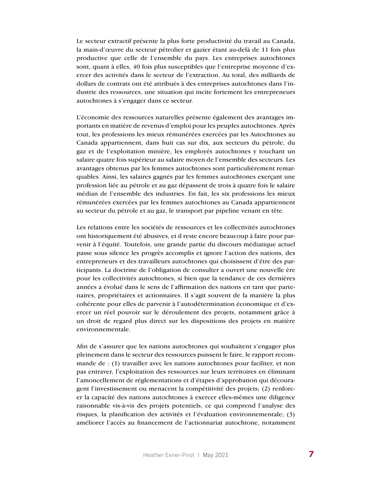Le secteur extractif présente la plus forte productivité du travail au Canada, la main-d'œuvre du secteur pétrolier et gazier étant au-delà de 11 fois plus productive que celle de l'ensemble du pays. Les entreprises autochtones sont, quant à elles, 40 fois plus susceptibles que l'entreprise moyenne d'exercer des activités dans le secteur de l'extraction. Au total, des milliards de dollars de contrats ont été attribués à des entreprises autochtones dans l'industrie des ressources, une situation qui incite fortement les entrepreneurs autochtones à s'engager dans ce secteur.

L'économie des ressources naturelles présente également des avantages importants en matière de revenus d'emploi pour les peuples autochtones. Après tout, les professions les mieux rémunérées exercées par les Autochtones au Canada appartiennent, dans huit cas sur dix, aux secteurs du pétrole, du gaz et de l'exploitation minière, les employés autochtones y touchant un salaire quatre fois supérieur au salaire moyen de l'ensemble des secteurs. Les avantages obtenus par les femmes autochtones sont particulièrement remarquables. Ainsi, les salaires gagnés par les femmes autochtones exerçant une profession liée au pétrole et au gaz dépassent de trois à quatre fois le salaire médian de l'ensemble des industries. En fait, les six professions les mieux rémunérées exercées par les femmes autochtones au Canada appartiennent au secteur du pétrole et au gaz, le transport par pipeline venant en tête.

Les relations entre les sociétés de ressources et les collectivités autochtones ont historiquement été abusives, et il reste encore beaucoup à faire pour parvenir à l'équité. Toutefois, une grande partie du discours médiatique actuel passe sous silence les progrès accomplis et ignore l'action des nations, des entrepreneurs et des travailleurs autochtones qui choisissent d'être des participants. La doctrine de l'obligation de consulter a ouvert une nouvelle ère pour les collectivités autochtones, si bien que la tendance de ces dernières années a évolué dans le sens de l'affirmation des nations en tant que partenaires, propriétaires et actionnaires. Il s'agit souvent de la manière la plus cohérente pour elles de parvenir à l'autodétermination économique et d'exercer un réel pouvoir sur le déroulement des projets, notamment grâce à un droit de regard plus direct sur les dispositions des projets en matière environnementale.

Afin de s'assurer que les nations autochtones qui souhaitent s'engager plus pleinement dans le secteur des ressources puissent le faire, le rapport recommande de : (1) travailler avec les nations autochtones pour faciliter, et non pas entraver, l'exploitation des ressources sur leurs territoires en éliminant l'amoncellement de réglementations et d'étapes d'approbation qui découragent l'investissement ou menacent la compétitivité des projets; (2) renforcer la capacité des nations autochtones à exercer elles-mêmes une diligence raisonnable vis-à-vis des projets potentiels, ce qui comprend l'analyse des risques, la planification des activités et l'évaluation environnementale; (3) améliorer l'accès au financement de l'actionnariat autochtone, notamment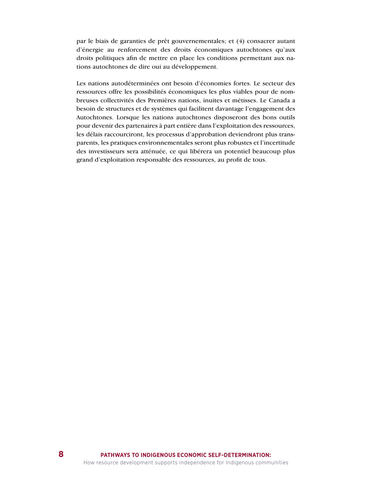par le biais de garanties de prêt gouvernementales; et (4) consacrer autant d'énergie au renforcement des droits économiques autochtones qu'aux droits politiques afin de mettre en place les conditions permettant aux nations autochtones de dire oui au développement.

Les nations autodéterminées ont besoin d'économies fortes. Le secteur des ressources offre les possibilités économiques les plus viables pour de nombreuses collectivités des Premières nations, inuites et métisses. Le Canada a besoin de structures et de systèmes qui facilitent davantage l'engagement des Autochtones. Lorsque les nations autochtones disposeront des bons outils pour devenir des partenaires à part entière dans l'exploitation des ressources, les délais raccourciront, les processus d'approbation deviendront plus transparents, les pratiques environnementales seront plus robustes et l'incertitude des investisseurs sera atténuée, ce qui libérera un potentiel beaucoup plus grand d'exploitation responsable des ressources, au profit de tous.

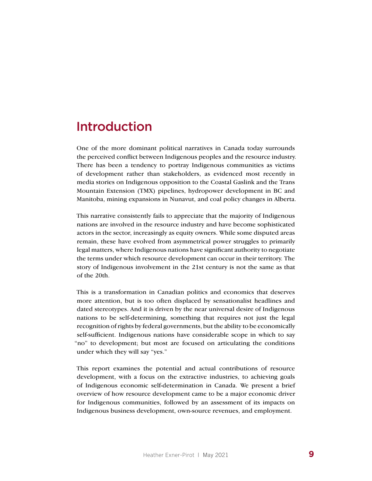### Introduction

One of the more dominant political narratives in Canada today surrounds the perceived conflict between Indigenous peoples and the resource industry. There has been a tendency to portray Indigenous communities as victims of development rather than stakeholders, as evidenced most recently in media stories on Indigenous opposition to the Coastal Gaslink and the Trans Mountain Extension (TMX) pipelines, hydropower development in BC and Manitoba, mining expansions in Nunavut, and coal policy changes in Alberta.

This narrative consistently fails to appreciate that the majority of Indigenous nations are involved in the resource industry and have become sophisticated actors in the sector, increasingly as equity owners. While some disputed areas remain, these have evolved from asymmetrical power struggles to primarily legal matters, where Indigenous nations have significant authority to negotiate the terms under which resource development can occur in their territory. The story of Indigenous involvement in the 21st century is not the same as that of the 20th.

This is a transformation in Canadian politics and economics that deserves more attention, but is too often displaced by sensationalist headlines and dated stereotypes. And it is driven by the near universal desire of Indigenous nations to be self-determining, something that requires not just the legal recognition of rights by federal governments, but the ability to be economically self-sufficient. Indigenous nations have considerable scope in which to say "no" to development; but most are focused on articulating the conditions under which they will say "yes."

This report examines the potential and actual contributions of resource development, with a focus on the extractive industries, to achieving goals of Indigenous economic self-determination in Canada. We present a brief overview of how resource development came to be a major economic driver for Indigenous communities, followed by an assessment of its impacts on Indigenous business development, own-source revenues, and employment.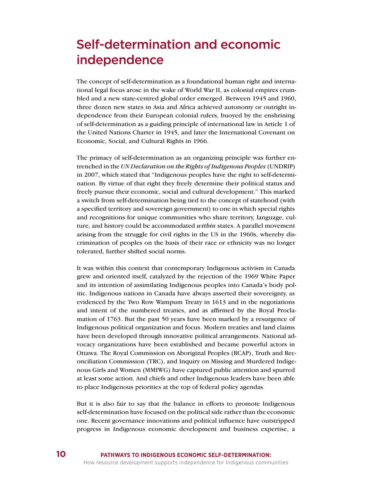# Self-determination and economic independence

The concept of self-determination as a foundational human right and international legal focus arose in the wake of World War II, as colonial empires crumbled and a new state-centred global order emerged. Between 1945 and 1960, three dozen new states in Asia and Africa achieved autonomy or outright independence from their European colonial rulers, buoyed by the enshrining of self-determination as a guiding principle of international law in Article 1 of the United Nations Charter in 1945, and later the International Covenant on Economic, Social, and Cultural Rights in 1966.

The primacy of self-determination as an organizing principle was further entrenched in the *UN Declaration on the Rights of Indigenous Peoples* (UNDRIP) in 2007, which stated that "Indigenous peoples have the right to self-determination. By virtue of that right they freely determine their political status and freely pursue their economic, social and cultural development." This marked a switch from self-determination being tied to the concept of statehood (with a specified territory and sovereign government) to one in which special rights and recognitions for unique communities who share territory, language, culture, and history could be accommodated *within* states. A parallel movement arising from the struggle for civil rights in the US in the 1960s, whereby discrimination of peoples on the basis of their race or ethnicity was no longer tolerated, further shifted social norms.

It was within this context that contemporary Indigenous activism in Canada grew and oriented itself, catalyzed by the rejection of the 1969 White Paper and its intention of assimilating Indigenous peoples into Canada's body politic. Indigenous nations in Canada have always asserted their sovereignty, as evidenced by the Two Row Wampum Treaty in 1613 and in the negotiations and intent of the numbered treaties, and as affirmed by the Royal Proclamation of 1763. But the past 50 years have been marked by a resurgence of Indigenous political organization and focus. Modern treaties and land claims have been developed through innovative political arrangements. National advocacy organizations have been established and became powerful actors in Ottawa. The Royal Commission on Aboriginal Peoples (RCAP), Truth and Reconciliation Commission (TRC), and Inquiry on Missing and Murdered Indigenous Girls and Women (MMIWG) have captured public attention and spurred at least some action. And chiefs and other Indigenous leaders have been able to place Indigenous priorities at the top of federal policy agendas.

But it is also fair to say that the balance in efforts to promote Indigenous self-determination have focused on the political side rather than the economic one. Recent governance innovations and political influence have outstripped progress in Indigenous economic development and business expertise, a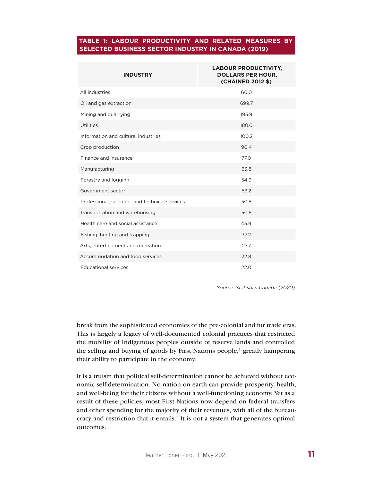#### **TABLE 1: LABOUR PRODUCTIVITY AND RELATED MEASURES BY SELECTED BUSINESS SECTOR INDUSTRY IN CANADA (2019)**

| <b>INDUSTRY</b>                                 | <b>LABOUR PRODUCTIVITY,</b><br><b>DOLLARS PER HOUR,</b><br>(CHAINED 2012 \$) |
|-------------------------------------------------|------------------------------------------------------------------------------|
| All industries                                  | 60.0                                                                         |
| Oil and gas extraction                          | 699.7                                                                        |
| Mining and quarrying                            | 195.9                                                                        |
| <b>Utilities</b>                                | 180.0                                                                        |
| Information and cultural industries             | 100.2                                                                        |
| Crop production                                 | 90.4                                                                         |
| Finance and insurance                           | 77.0                                                                         |
| Manufacturing                                   | 63.8                                                                         |
| Forestry and logging                            | 54.9                                                                         |
| Government sector                               | 53.2                                                                         |
| Professional, scientific and technical services | 50.8                                                                         |
| Transportation and warehousing                  | 50.5                                                                         |
| Health care and social assistance               | 45.9                                                                         |
| Fishing, hunting and trapping                   | 37.2                                                                         |
| Arts, entertainment and recreation              | 27.7                                                                         |
| Accommodation and food services                 | 22.8                                                                         |
| <b>Educational services</b>                     | 22.0                                                                         |

*Source: Statistics Canada (2020).*

break from the sophisticated economies of the pre-colonial and fur trade eras. This is largely a legacy of well-documented colonial practices that restricted the mobility of Indigenous peoples outside of reserve lands and controlled the selling and buying of goods by First Nations people,<sup>1</sup> greatly hampering their ability to participate in the economy.

It is a truism that political self-determination cannot be achieved without economic self-determination. No nation on earth can provide prosperity, health, and well-being for their citizens without a well-functioning economy. Yet as a result of these policies, most First Nations now depend on federal transfers and other spending for the majority of their revenues, with all of the bureaucracy and restriction that it entails.<sup>2</sup> It is not a system that generates optimal outcomes.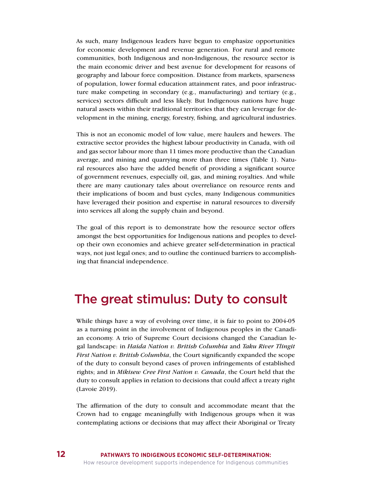As such, many Indigenous leaders have begun to emphasize opportunities for economic development and revenue generation. For rural and remote communities, both Indigenous and non-Indigenous, the resource sector is the main economic driver and best avenue for development for reasons of geography and labour force composition. Distance from markets, sparseness of population, lower formal education attainment rates, and poor infrastructure make competing in secondary (e.g., manufacturing) and tertiary (e.g., services) sectors difficult and less likely. But Indigenous nations have huge natural assets within their traditional territories that they can leverage for development in the mining, energy, forestry, fishing, and agricultural industries.

This is not an economic model of low value, mere haulers and hewers. The extractive sector provides the highest labour productivity in Canada, with oil and gas sector labour more than 11 times more productive than the Canadian average, and mining and quarrying more than three times (Table 1). Natural resources also have the added benefit of providing a significant source of government revenues, especially oil, gas, and mining royalties. And while there are many cautionary tales about overreliance on resource rents and their implications of boom and bust cycles, many Indigenous communities have leveraged their position and expertise in natural resources to diversify into services all along the supply chain and beyond.

The goal of this report is to demonstrate how the resource sector offers amongst the best opportunities for Indigenous nations and peoples to develop their own economies and achieve greater self-determination in practical ways, not just legal ones; and to outline the continued barriers to accomplishing that financial independence.

### The great stimulus: Duty to consult

While things have a way of evolving over time, it is fair to point to 2004-05 as a turning point in the involvement of Indigenous peoples in the Canadian economy. A trio of Supreme Court decisions changed the Canadian legal landscape: in *Haida Nation v. British Columbia* and *Taku River Tlingit First Nation v. British Columbia*, the Court significantly expanded the scope of the duty to consult beyond cases of proven infringements of established rights; and in *Mikisew Cree First Nation v. Canada*, the Court held that the duty to consult applies in relation to decisions that could affect a treaty right (Lavoie 2019).

The affirmation of the duty to consult and accommodate meant that the Crown had to engage meaningfully with Indigenous groups when it was contemplating actions or decisions that may affect their Aboriginal or Treaty

**12**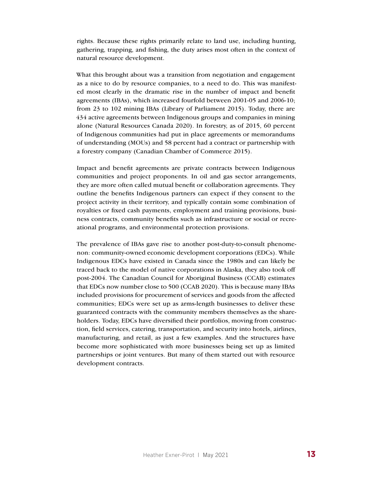rights. Because these rights primarily relate to land use, including hunting, gathering, trapping, and fishing, the duty arises most often in the context of natural resource development.

What this brought about was a transition from negotiation and engagement as a nice to do by resource companies, to a need to do. This was manifested most clearly in the dramatic rise in the number of impact and benefit agreements (IBAs), which increased fourfold between 2001-05 and 2006-10; from 23 to 102 mining IBAs (Library of Parliament 2015). Today, there are 434 active agreements between Indigenous groups and companies in mining alone (Natural Resources Canada 2020). In forestry, as of 2015, 60 percent of Indigenous communities had put in place agreements or memorandums of understanding (MOUs) and 58 percent had a contract or partnership with a forestry company (Canadian Chamber of Commerce 2015).

Impact and benefit agreements are private contracts between Indigenous communities and project proponents. In oil and gas sector arrangements, they are more often called mutual benefit or collaboration agreements. They outline the benefits Indigenous partners can expect if they consent to the project activity in their territory, and typically contain some combination of royalties or fixed cash payments, employment and training provisions, business contracts, community benefits such as infrastructure or social or recreational programs, and environmental protection provisions.

The prevalence of IBAs gave rise to another post-duty-to-consult phenomenon: community-owned economic development corporations (EDCs). While Indigenous EDCs have existed in Canada since the 1980s and can likely be traced back to the model of native corporations in Alaska, they also took off post-2004. The Canadian Council for Aboriginal Business (CCAB) estimates that EDCs now number close to 500 (CCAB 2020). This is because many IBAs included provisions for procurement of services and goods from the affected communities; EDCs were set up as arms-length businesses to deliver these guaranteed contracts with the community members themselves as the shareholders. Today, EDCs have diversified their portfolios, moving from construction, field services, catering, transportation, and security into hotels, airlines, manufacturing, and retail, as just a few examples. And the structures have become more sophisticated with more businesses being set up as limited partnerships or joint ventures. But many of them started out with resource development contracts.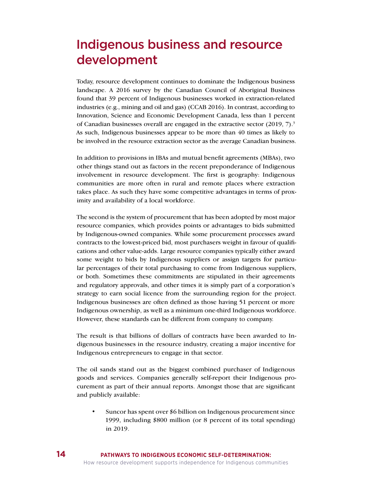# Indigenous business and resource development

Today, resource development continues to dominate the Indigenous business landscape. A 2016 survey by the Canadian Council of Aboriginal Business found that 39 percent of Indigenous businesses worked in extraction-related industries (e.g., mining and oil and gas) (CCAB 2016). In contrast, according to Innovation, Science and Economic Development Canada, less than 1 percent of Canadian businesses overall are engaged in the extractive sector  $(2019, 7)$ .<sup>3</sup> As such, Indigenous businesses appear to be more than 40 times as likely to be involved in the resource extraction sector as the average Canadian business.

In addition to provisions in IBAs and mutual benefit agreements (MBAs), two other things stand out as factors in the recent preponderance of Indigenous involvement in resource development. The first is geography: Indigenous communities are more often in rural and remote places where extraction takes place. As such they have some competitive advantages in terms of proximity and availability of a local workforce.

The second is the system of procurement that has been adopted by most major resource companies, which provides points or advantages to bids submitted by Indigenous-owned companies. While some procurement processes award contracts to the lowest-priced bid, most purchasers weight in favour of qualifications and other value-adds. Large resource companies typically either award some weight to bids by Indigenous suppliers or assign targets for particular percentages of their total purchasing to come from Indigenous suppliers, or both. Sometimes these commitments are stipulated in their agreements and regulatory approvals, and other times it is simply part of a corporation's strategy to earn social licence from the surrounding region for the project. Indigenous businesses are often defined as those having 51 percent or more Indigenous ownership, as well as a minimum one-third Indigenous workforce. However, these standards can be different from company to company.

The result is that billions of dollars of contracts have been awarded to Indigenous businesses in the resource industry, creating a major incentive for Indigenous entrepreneurs to engage in that sector.

The oil sands stand out as the biggest combined purchaser of Indigenous goods and services. Companies generally self-report their Indigenous procurement as part of their annual reports. Amongst those that are significant and publicly available:

• Suncor has spent over \$6 billion on Indigenous procurement since 1999, including \$800 million (or 8 percent of its total spending) in 2019.

**14**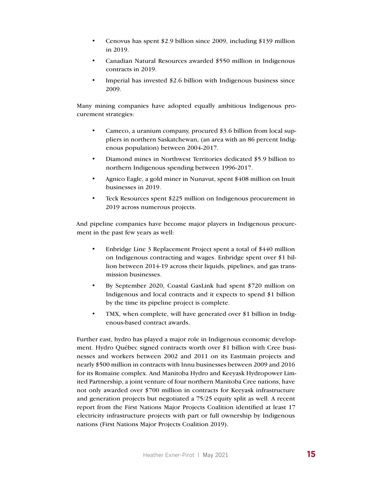- Cenovus has spent \$2.9 billion since 2009, including \$139 million in 2019.
- Canadian Natural Resources awarded \$550 million in Indigenous contracts in 2019.
- Imperial has invested \$2.6 billion with Indigenous business since 2009.

Many mining companies have adopted equally ambitious Indigenous procurement strategies:

- Cameco, a uranium company, procured \$3.6 billion from local suppliers in northern Saskatchewan, (an area with an 86 percent Indigenous population) between 2004-2017.
- Diamond mines in Northwest Territories dedicated \$5.9 billion to northern Indigenous spending between 1996-2017.
- Agnico Eagle, a gold miner in Nunavut, spent \$408 million on Inuit businesses in 2019.
- Teck Resources spent \$225 million on Indigenous procurement in 2019 across numerous projects.

And pipeline companies have become major players in Indigenous procurement in the past few years as well:

- Enbridge Line 3 Replacement Project spent a total of \$440 million on Indigenous contracting and wages. Enbridge spent over \$1 billion between 2014-19 across their liquids, pipelines, and gas transmission businesses.
- By September 2020, Coastal GasLink had spent \$720 million on Indigenous and local contracts and it expects to spend \$1 billion by the time its pipeline project is complete.
- TMX, when complete, will have generated over \$1 billion in Indigenous-based contract awards.

Further east, hydro has played a major role in Indigenous economic development. Hydro Québec signed contracts worth over \$1 billion with Cree businesses and workers between 2002 and 2011 on its Eastmain projects and nearly \$500 million in contracts with Innu businesses between 2009 and 2016 for its Romaine complex. And Manitoba Hydro and Keeyask Hydropower Limited Partnership, a joint venture of four northern Manitoba Cree nations, have not only awarded over \$700 million in contracts for Keeyask infrastructure and generation projects but negotiated a 75/25 equity split as well. A recent report from the First Nations Major Projects Coalition identified at least 17 electricity infrastructure projects with part or full ownership by Indigenous nations (First Nations Major Projects Coalition 2019).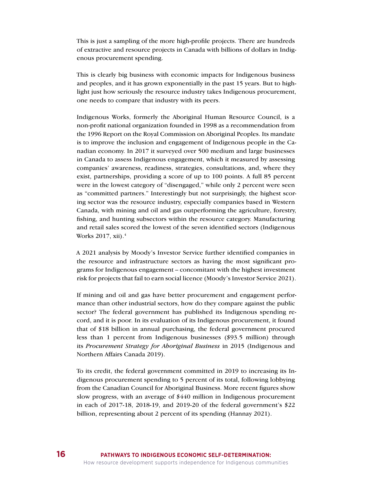This is just a sampling of the more high-profile projects. There are hundreds of extractive and resource projects in Canada with billions of dollars in Indigenous procurement spending.

This is clearly big business with economic impacts for Indigenous business and peoples, and it has grown exponentially in the past 15 years. But to highlight just how seriously the resource industry takes Indigenous procurement, one needs to compare that industry with its peers.

Indigenous Works, formerly the Aboriginal Human Resource Council, is a non-profit national organization founded in 1998 as a recommendation from the 1996 Report on the Royal Commission on Aboriginal Peoples. Its mandate is to improve the inclusion and engagement of Indigenous people in the Canadian economy. In 2017 it surveyed over 500 medium and large businesses in Canada to assess Indigenous engagement, which it measured by assessing companies' awareness, readiness, strategies, consultations, and, where they exist, partnerships, providing a score of up to 100 points. A full 85 percent were in the lowest category of "disengaged," while only 2 percent were seen as "committed partners." Interestingly but not surprisingly, the highest scoring sector was the resource industry, especially companies based in Western Canada, with mining and oil and gas outperforming the agriculture, forestry, fishing, and hunting subsectors within the resource category. Manufacturing and retail sales scored the lowest of the seven identified sectors (Indigenous Works 2017, xii).<sup>4</sup>

A 2021 analysis by Moody's Investor Service further identified companies in the resource and infrastructure sectors as having the most significant programs for Indigenous engagement – concomitant with the highest investment risk for projects that fail to earn social licence (Moody's Investor Service 2021).

If mining and oil and gas have better procurement and engagement performance than other industrial sectors, how do they compare against the public sector? The federal government has published its Indigenous spending record, and it is poor. In its evaluation of its Indigenous procurement, it found that of \$18 billion in annual purchasing, the federal government procured less than 1 percent from Indigenous businesses (\$93.5 million) through its *Procurement Strategy for Aboriginal Business* in 2015 (Indigenous and Northern Affairs Canada 2019).

To its credit, the federal government committed in 2019 to increasing its Indigenous procurement spending to 5 percent of its total, following lobbying from the Canadian Council for Aboriginal Business. More recent figures show slow progress, with an average of \$440 million in Indigenous procurement in each of 2017-18, 2018-19, and 2019-20 of the federal government's \$22 billion, representing about 2 percent of its spending (Hannay 2021).

**16**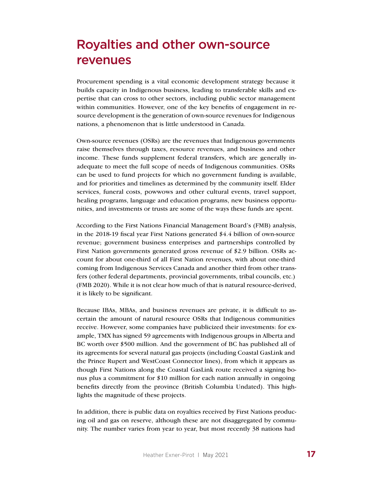# Royalties and other own-source revenues

Procurement spending is a vital economic development strategy because it builds capacity in Indigenous business, leading to transferable skills and expertise that can cross to other sectors, including public sector management within communities. However, one of the key benefits of engagement in resource development is the generation of own-source revenues for Indigenous nations, a phenomenon that is little understood in Canada.

Own-source revenues (OSRs) are the revenues that Indigenous governments raise themselves through taxes, resource revenues, and business and other income. These funds supplement federal transfers, which are generally inadequate to meet the full scope of needs of Indigenous communities. OSRs can be used to fund projects for which no government funding is available, and for priorities and timelines as determined by the community itself. Elder services, funeral costs, powwows and other cultural events, travel support, healing programs, language and education programs, new business opportunities, and investments or trusts are some of the ways these funds are spent.

According to the First Nations Financial Management Board's (FMB) analysis, in the 2018-19 fiscal year First Nations generated \$4.4 billion of own-source revenue; government business enterprises and partnerships controlled by First Nation governments generated gross revenue of \$2.9 billion. OSRs account for about one-third of all First Nation revenues, with about one-third coming from Indigenous Services Canada and another third from other transfers (other federal departments, provincial governments, tribal councils, etc.) (FMB 2020). While it is not clear how much of that is natural resource-derived, it is likely to be significant.

Because IBAs, MBAs, and business revenues are private, it is difficult to ascertain the amount of natural resource OSRs that Indigenous communities receive. However, some companies have publicized their investments: for example, TMX has signed 59 agreements with Indigenous groups in Alberta and BC worth over \$500 million. And the government of BC has published all of its agreements for several natural gas projects (including Coastal GasLink and the Prince Rupert and WestCoast Connector lines), from which it appears as though First Nations along the Coastal GasLink route received a signing bonus plus a commitment for \$10 million for each nation annually in ongoing benefits directly from the province (British Columbia Undated). This highlights the magnitude of these projects.

In addition, there is public data on royalties received by First Nations producing oil and gas on reserve, although these are not disaggregated by community. The number varies from year to year, but most recently 38 nations had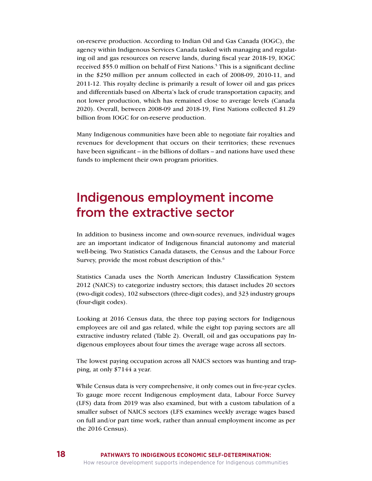on-reserve production. According to Indian Oil and Gas Canada (IOGC), the agency within Indigenous Services Canada tasked with managing and regulating oil and gas resources on reserve lands, during fiscal year 2018-19, IOGC received \$55.0 million on behalf of First Nations.<sup>5</sup> This is a significant decline in the \$250 million per annum collected in each of 2008-09, 2010-11, and 2011-12. This royalty decline is primarily a result of lower oil and gas prices and differentials based on Alberta's lack of crude transportation capacity, and not lower production, which has remained close to average levels (Canada 2020). Overall, between 2008-09 and 2018-19, First Nations collected \$1.29 billion from IOGC for on-reserve production.

Many Indigenous communities have been able to negotiate fair royalties and revenues for development that occurs on their territories; these revenues have been significant – in the billions of dollars – and nations have used these funds to implement their own program priorities.

# Indigenous employment income from the extractive sector

In addition to business income and own-source revenues, individual wages are an important indicator of Indigenous financial autonomy and material well-being. Two Statistics Canada datasets, the Census and the Labour Force Survey, provide the most robust description of this.<sup>6</sup>

Statistics Canada uses the North American Industry Classification System 2012 (NAICS) to categorize industry sectors; this dataset includes 20 sectors (two-digit codes), 102 subsectors (three-digit codes), and 323 industry groups (four-digit codes).

Looking at 2016 Census data, the three top paying sectors for Indigenous employees are oil and gas related, while the eight top paying sectors are all extractive industry related (Table 2). Overall, oil and gas occupations pay Indigenous employees about four times the average wage across all sectors.

The lowest paying occupation across all NAICS sectors was hunting and trapping, at only \$7144 a year.

While Census data is very comprehensive, it only comes out in five-year cycles. To gauge more recent Indigenous employment data, Labour Force Survey (LFS) data from 2019 was also examined, but with a custom tabulation of a smaller subset of NAICS sectors (LFS examines weekly average wages based on full and/or part time work, rather than annual employment income as per the 2016 Census).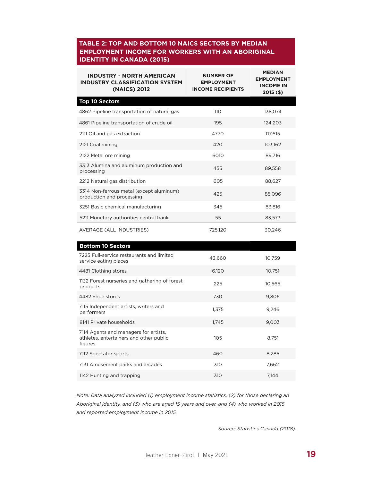### **EMPLOYMENT INCOME FOR WORKERS WITH AN ABORIGINAL IDENTITY IN CANADA (2015) TABLE 2: TOP AND BOTTOM 10 NAICS SECTORS BY MEDIAN**

| <b>INDUSTRY - NORTH AMERICAN</b><br><b>INDUSTRY CLASSIFICATION SYSTEM</b><br>(NAICS) 2012 | <b>NUMBER OF</b><br><b>EMPLOYMENT</b><br><b>INCOME RECIPIENTS</b> | <b>MEDIAN</b><br><b>EMPLOYMENT</b><br><b>INCOME IN</b><br>$2015($ \$) |
|-------------------------------------------------------------------------------------------|-------------------------------------------------------------------|-----------------------------------------------------------------------|
| <b>Top 10 Sectors</b>                                                                     |                                                                   |                                                                       |
| 4862 Pipeline transportation of natural gas                                               | 110                                                               | 138,074                                                               |
| 4861 Pipeline transportation of crude oil                                                 | 195                                                               | 124,203                                                               |
| 2111 Oil and gas extraction                                                               | 4770                                                              | 117,615                                                               |
| 2121 Coal mining                                                                          | 420                                                               | 103,162                                                               |
| 2122 Metal ore mining                                                                     | 6010                                                              | 89.716                                                                |
| 3313 Alumina and aluminum production and<br>processing                                    | 455                                                               | 89,558                                                                |
| 2212 Natural gas distribution                                                             | 605                                                               | 88,627                                                                |
| 3314 Non-ferrous metal (except aluminum)<br>production and processing                     | 425                                                               | 85,096                                                                |
| 3251 Basic chemical manufacturing                                                         | 345                                                               | 83,816                                                                |
| 5211 Monetary authorities central bank                                                    | 55                                                                | 83,573                                                                |
| AVERAGE (ALL INDUSTRIES)                                                                  | 725,120                                                           | 30,246                                                                |
| <b>Bottom 10 Sectors</b>                                                                  |                                                                   |                                                                       |
| 7225 Full-service restaurants and limited                                                 | 1360                                                              | 10759                                                                 |

| 7225 Full-service restaurants and limited<br>service eating places                          | 43,660 | 10,759 |
|---------------------------------------------------------------------------------------------|--------|--------|
| 4481 Clothing stores                                                                        | 6,120  | 10,751 |
| 1132 Forest nurseries and gathering of forest<br>products                                   | 225    | 10,565 |
| 4482 Shoe stores                                                                            | 730    | 9,806  |
| 7115 Independent artists, writers and<br>performers                                         | 1,375  | 9,246  |
| 8141 Private households                                                                     | 1,745  | 9,003  |
| 7114 Agents and managers for artists,<br>athletes, entertainers and other public<br>figures | 105    | 8.751  |
| 7112 Spectator sports                                                                       | 460    | 8,285  |
| 7131 Amusement parks and arcades                                                            | 310    | 7,662  |
| 1142 Hunting and trapping                                                                   | 310    | 7,144  |

*Note: Data analyzed included (1) employment income statistics, (2) for those declaring an Aboriginal identity, and (3) who are aged 15 years and over, and (4) who worked in 2015 and reported employment income in 2015.*

*Source: Statistics Canada (2018).*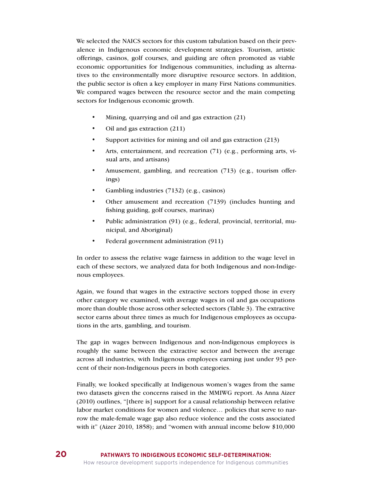We selected the NAICS sectors for this custom tabulation based on their prevalence in Indigenous economic development strategies. Tourism, artistic offerings, casinos, golf courses, and guiding are often promoted as viable economic opportunities for Indigenous communities, including as alternatives to the environmentally more disruptive resource sectors. In addition, the public sector is often a key employer in many First Nations communities. We compared wages between the resource sector and the main competing sectors for Indigenous economic growth.

- Mining, quarrying and oil and gas extraction (21)
- Oil and gas extraction (211)
- Support activities for mining and oil and gas extraction (213)
- Arts, entertainment, and recreation (71) (e.g., performing arts, visual arts, and artisans)
- Amusement, gambling, and recreation (713) (e.g., tourism offerings)
- Gambling industries (7132) (e.g., casinos)
- Other amusement and recreation (7139) (includes hunting and fishing guiding, golf courses, marinas)
- Public administration (91) (e.g., federal, provincial, territorial, municipal, and Aboriginal)
- Federal government administration (911)

In order to assess the relative wage fairness in addition to the wage level in each of these sectors, we analyzed data for both Indigenous and non-Indigenous employees.

Again, we found that wages in the extractive sectors topped those in every other category we examined, with average wages in oil and gas occupations more than double those across other selected sectors (Table 3). The extractive sector earns about three times as much for Indigenous employees as occupations in the arts, gambling, and tourism.

The gap in wages between Indigenous and non-Indigenous employees is roughly the same between the extractive sector and between the average across all industries, with Indigenous employees earning just under 93 percent of their non-Indigenous peers in both categories.

Finally, we looked specifically at Indigenous women's wages from the same two datasets given the concerns raised in the MMIWG report. As Anna Aizer (2010) outlines, "[there is] support for a causal relationship between relative labor market conditions for women and violence… policies that serve to narrow the male-female wage gap also reduce violence and the costs associated with it" (Aizer 2010, 1858); and "women with annual income below \$10,000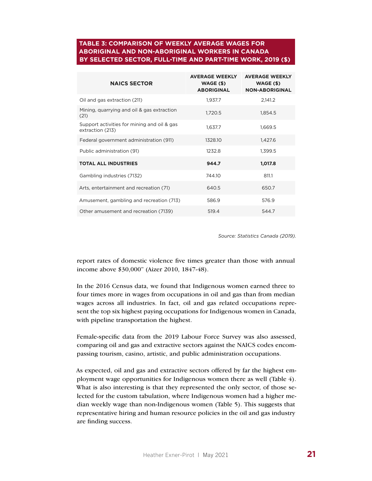#### **BY SELECTED SECTOR, FULL-TIME AND PART-TIME WORK, 2019 (\$) TABLE 3: COMPARISON OF WEEKLY AVERAGE WAGES FOR ABORIGINAL AND NON-ABORIGINAL WORKERS IN CANADA**

| <b>NAICS SECTOR</b>                                             | <b>AVERAGE WEEKLY</b><br>WAGE (\$)<br><b>ABORIGINAL</b> | <b>AVERAGE WEEKLY</b><br>$WAGE($ \$)<br><b>NON-ABORIGINAL</b> |
|-----------------------------------------------------------------|---------------------------------------------------------|---------------------------------------------------------------|
| Oil and gas extraction (211)                                    | 1,937.7                                                 | 2,141.2                                                       |
| Mining, quarrying and oil & gas extraction<br>(21)              | 1,720.5                                                 | 1,854.5                                                       |
| Support activities for mining and oil & gas<br>extraction (213) | 1,637.7                                                 | 1,669.5                                                       |
| Federal government administration (911)                         | 1328.10                                                 | 1,427.6                                                       |
| Public administration (91)                                      | 1232.8                                                  | 1,399.5                                                       |
| <b>TOTAL ALL INDUSTRIES</b>                                     | 944.7                                                   | 1,017.8                                                       |
| Gambling industries (7132)                                      | 744.10                                                  | 811.1                                                         |
| Arts, entertainment and recreation (71)                         | 640.5                                                   | 650.7                                                         |
| Amusement, gambling and recreation (713)                        | 586.9                                                   | 576.9                                                         |
| Other amusement and recreation (7139)                           | 519.4                                                   | 544.7                                                         |

*Source: Statistics Canada (2019).*

report rates of domestic violence five times greater than those with annual income above \$30,000" (Aizer 2010, 1847-48).

In the 2016 Census data, we found that Indigenous women earned three to four times more in wages from occupations in oil and gas than from median wages across all industries. In fact, oil and gas related occupations represent the top six highest paying occupations for Indigenous women in Canada, with pipeline transportation the highest.

Female-specific data from the 2019 Labour Force Survey was also assessed, comparing oil and gas and extractive sectors against the NAICS codes encompassing tourism, casino, artistic, and public administration occupations.

As expected, oil and gas and extractive sectors offered by far the highest employment wage opportunities for Indigenous women there as well (Table 4). What is also interesting is that they represented the only sector, of those selected for the custom tabulation, where Indigenous women had a higher median weekly wage than non-Indigenous women (Table 5). This suggests that representative hiring and human resource policies in the oil and gas industry are finding success.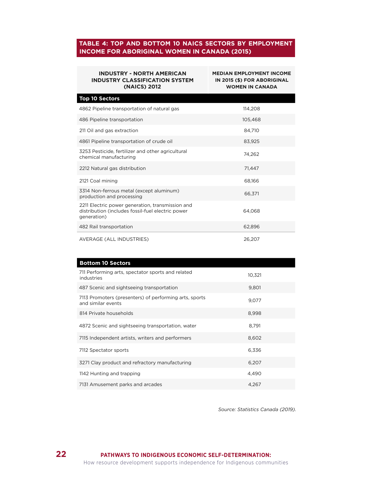### **TABLE 4: TOP AND BOTTOM 10 NAICS SECTORS BY EMPLOYMENT INCOME FOR ABORIGINAL WOMEN IN CANADA (2015)**

| <b>INDUSTRY - NORTH AMERICAN</b><br><b>INDUSTRY CLASSIFICATION SYSTEM</b><br>(NAICS) 2012                            | <b>MEDIAN EMPLOYMENT INCOME</b><br>IN 2015 (\$) FOR ABORIGINAL<br><b>WOMEN IN CANADA</b> |
|----------------------------------------------------------------------------------------------------------------------|------------------------------------------------------------------------------------------|
| <b>Top 10 Sectors</b>                                                                                                |                                                                                          |
| 4862 Pipeline transportation of natural gas                                                                          | 114,208                                                                                  |
| 486 Pipeline transportation                                                                                          | 105.468                                                                                  |
| 211 Oil and gas extraction                                                                                           | 84.710                                                                                   |
| 4861 Pipeline transportation of crude oil                                                                            | 83,925                                                                                   |
| 3253 Pesticide, fertilizer and other agricultural<br>chemical manufacturing                                          | 74,262                                                                                   |
| 2212 Natural gas distribution                                                                                        | 71,447                                                                                   |
| 2121 Coal mining                                                                                                     | 68.166                                                                                   |
| 3314 Non-ferrous metal (except aluminum)<br>production and processing                                                | 66,371                                                                                   |
| 2211 Electric power generation, transmission and<br>distribution (includes fossil-fuel electric power<br>generation) | 64,068                                                                                   |
| 482 Rail transportation                                                                                              | 62,896                                                                                   |
| AVERAGE (ALL INDUSTRIES)                                                                                             | 26,207                                                                                   |

| <b>Bottom 10 Sectors</b>                                                     |        |
|------------------------------------------------------------------------------|--------|
| 711 Performing arts, spectator sports and related<br>industries              | 10,321 |
| 487 Scenic and sightseeing transportation                                    | 9,801  |
| 7113 Promoters (presenters) of performing arts, sports<br>and similar events | 9,077  |
| 814 Private households                                                       | 8,998  |
| 4872 Scenic and sightseeing transportation, water                            | 8,791  |
| 7115 Independent artists, writers and performers                             | 8,602  |
| 7112 Spectator sports                                                        | 6,336  |
| 3271 Clay product and refractory manufacturing                               | 6,207  |
| 1142 Hunting and trapping                                                    | 4,490  |
| 7131 Amusement parks and arcades                                             | 4.267  |

*Source: Statistics Canada (2019).*

**22**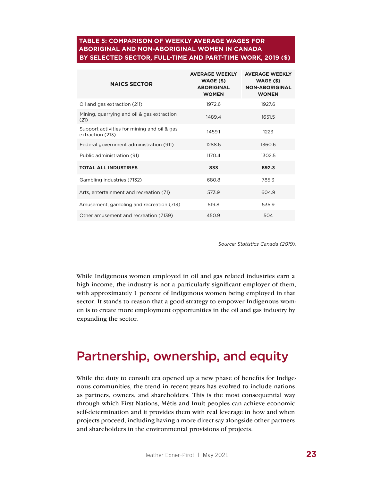### **BY SELECTED SECTOR, FULL-TIME AND PART-TIME WORK, 2019 (\$) TABLE 5: COMPARISON OF WEEKLY AVERAGE WAGES FOR ABORIGINAL AND NON-ABORIGINAL WOMEN IN CANADA**

| <b>NAICS SECTOR</b>                                             | <b>AVERAGE WEEKLY</b><br>$WAGE($ \$)<br><b>ABORIGINAL</b><br><b>WOMEN</b> | <b>AVERAGE WEEKLY</b><br>WAGE (\$)<br><b>NON-ABORIGINAL</b><br><b>WOMEN</b> |
|-----------------------------------------------------------------|---------------------------------------------------------------------------|-----------------------------------------------------------------------------|
| Oil and gas extraction (211)                                    | 1972.6                                                                    | 1927.6                                                                      |
| Mining, quarrying and oil & gas extraction<br>(21)              | 1489.4                                                                    | 1651.5                                                                      |
| Support activities for mining and oil & gas<br>extraction (213) | 1459.1                                                                    | 1223                                                                        |
| Federal government administration (911)                         | 1288.6                                                                    | 1360.6                                                                      |
| Public administration (91)                                      | 1170.4                                                                    | 1302.5                                                                      |
| <b>TOTAL ALL INDUSTRIES</b>                                     | 833                                                                       | 892.3                                                                       |
| Gambling industries (7132)                                      | 680.8                                                                     | 785.3                                                                       |
| Arts, entertainment and recreation (71)                         | 573.9                                                                     | 604.9                                                                       |
| Amusement, gambling and recreation (713)                        | 519.8                                                                     | 535.9                                                                       |
| Other amusement and recreation (7139)                           | 450.9                                                                     | 504                                                                         |

*Source: Statistics Canada (2019).*

While Indigenous women employed in oil and gas related industries earn a high income, the industry is not a particularly significant employer of them, with approximately 1 percent of Indigenous women being employed in that sector. It stands to reason that a good strategy to empower Indigenous women is to create more employment opportunities in the oil and gas industry by expanding the sector.

### Partnership, ownership, and equity

While the duty to consult era opened up a new phase of benefits for Indigenous communities, the trend in recent years has evolved to include nations as partners, owners, and shareholders. This is the most consequential way through which First Nations, Métis and Inuit peoples can achieve economic self-determination and it provides them with real leverage in how and when projects proceed, including having a more direct say alongside other partners and shareholders in the environmental provisions of projects.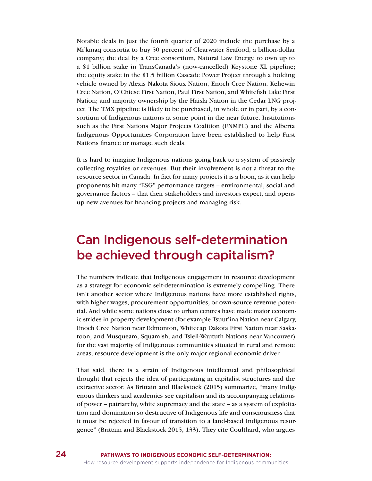Notable deals in just the fourth quarter of 2020 include the purchase by a Mi'kmaq consortia to buy 50 percent of Clearwater Seafood, a billion-dollar company; the deal by a Cree consortium, Natural Law Energy, to own up to a \$1 billion stake in TransCanada's (now-cancelled) Keystone XL pipeline; the equity stake in the \$1.5 billion Cascade Power Project through a holding vehicle owned by Alexis Nakota Sioux Nation, Enoch Cree Nation, Kehewin Cree Nation, O'Chiese First Nation, Paul First Nation, and Whitefish Lake First Nation; and majority ownership by the Haisla Nation in the Cedar LNG project. The TMX pipeline is likely to be purchased, in whole or in part, by a consortium of Indigenous nations at some point in the near future. Institutions such as the First Nations Major Projects Coalition (FNMPC) and the Alberta Indigenous Opportunities Corporation have been established to help First Nations finance or manage such deals.

It is hard to imagine Indigenous nations going back to a system of passively collecting royalties or revenues. But their involvement is not a threat to the resource sector in Canada. In fact for many projects it is a boon, as it can help proponents hit many "ESG" performance targets – environmental, social and governance factors – that their stakeholders and investors expect, and opens up new avenues for financing projects and managing risk.

## Can Indigenous self-determination be achieved through capitalism?

The numbers indicate that Indigenous engagement in resource development as a strategy for economic self-determination is extremely compelling. There isn't another sector where Indigenous nations have more established rights, with higher wages, procurement opportunities, or own-source revenue potential. And while some nations close to urban centres have made major economic strides in property development (for example Tsuut'ina Nation near Calgary, Enoch Cree Nation near Edmonton, Whitecap Dakota First Nation near Saskatoon, and Musqueam, Squamish, and Tsleil-Waututh Nations near Vancouver) for the vast majority of Indigenous communities situated in rural and remote areas, resource development is the only major regional economic driver.

That said, there is a strain of Indigenous intellectual and philosophical thought that rejects the idea of participating in capitalist structures and the extractive sector. As Brittain and Blackstock (2015) summarize, "many Indigenous thinkers and academics see capitalism and its accompanying relations of power – patriarchy, white supremacy and the state – as a system of exploitation and domination so destructive of Indigenous life and consciousness that it must be rejected in favour of transition to a land-based Indigenous resurgence" (Brittain and Blackstock 2015, 133). They cite Coulthard, who argues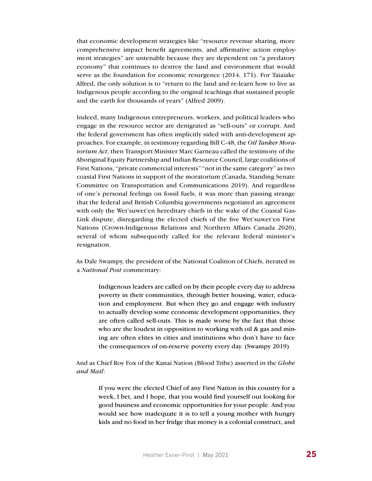that economic development strategies like "resource revenue sharing, more comprehensive impact benefit agreements, and affirmative action employment strategies" are untenable because they are dependent on "a predatory economy" that continues to destroy the land and environment that would serve as the foundation for economic resurgence (2014, 171). For Taiaiake Alfred, the only solution is to "return to the land and re-learn how to live as Indigenous people according to the original teachings that sustained people and the earth for thousands of years" (Alfred 2009).

Indeed, many Indigenous entrepreneurs, workers, and political leaders who engage in the resource sector are denigrated as "sell-outs" or corrupt. And the federal government has often implicitly sided with anti-development approaches. For example, in testimony regarding Bill C-48, the *Oil Tanker Moratorium Act*, then Transport Minister Marc Garneau called the testimony of the Aboriginal Equity Partnership and Indian Resource Council, large coalitions of First Nations, "private commercial interests" "not in the same category" as two coastal First Nations in support of the moratorium (Canada, Standing Senate Committee on Transportation and Communications 2019). And regardless of one's personal feelings on fossil fuels, it was more than passing strange that the federal and British Columbia governments negotiated an agreement with only the Wet'suwet'en hereditary chiefs in the wake of the Coastal Gas-Link dispute, disregarding the elected chiefs of the five Wet'suwet'en First Nations (Crown-Indigenous Relations and Northern Affairs Canada 2020), several of whom subsequently called for the relevant federal minister's resignation.

As Dale Swampy, the president of the National Coalition of Chiefs, iterated in a *National Post* commentary:

> Indigenous leaders are called on by their people every day to address poverty in their communities, through better housing, water, education and employment. But when they go and engage with industry to actually develop some economic development opportunities, they are often called sell-outs. This is made worse by the fact that those who are the loudest in opposition to working with oil & gas and mining are often elites in cities and institutions who don't have to face the consequences of on-reserve poverty every day. (Swampy 2019)

And as Chief Roy Fox of the Kanai Nation (Blood Tribe) asserted in the *Globe and Mail*:

If you were the elected Chief of any First Nation in this country for a week, I bet, and I hope, that you would find yourself out looking for good business and economic opportunities for your people. And you would see how inadequate it is to tell a young mother with hungry kids and no food in her fridge that money is a colonial construct, and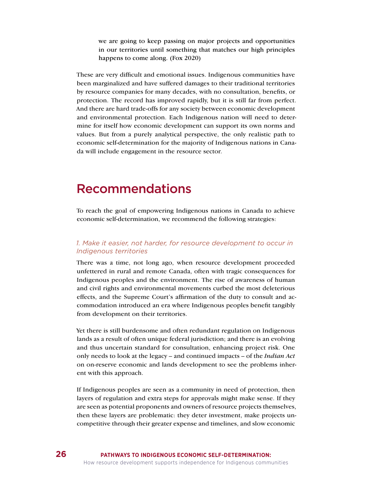we are going to keep passing on major projects and opportunities in our territories until something that matches our high principles happens to come along. (Fox 2020)

These are very difficult and emotional issues. Indigenous communities have been marginalized and have suffered damages to their traditional territories by resource companies for many decades, with no consultation, benefits, or protection. The record has improved rapidly, but it is still far from perfect. And there are hard trade-offs for any society between economic development and environmental protection. Each Indigenous nation will need to determine for itself how economic development can support its own norms and values. But from a purely analytical perspective, the only realistic path to economic self-determination for the majority of Indigenous nations in Canada will include engagement in the resource sector.

### Recommendations

To reach the goal of empowering Indigenous nations in Canada to achieve economic self-determination, we recommend the following strategies:

#### *1. Make it easier, not harder, for resource development to occur in Indigenous territories*

There was a time, not long ago, when resource development proceeded unfettered in rural and remote Canada, often with tragic consequences for Indigenous peoples and the environment. The rise of awareness of human and civil rights and environmental movements curbed the most deleterious effects, and the Supreme Court's affirmation of the duty to consult and accommodation introduced an era where Indigenous peoples benefit tangibly from development on their territories.

Yet there is still burdensome and often redundant regulation on Indigenous lands as a result of often unique federal jurisdiction; and there is an evolving and thus uncertain standard for consultation, enhancing project risk. One only needs to look at the legacy – and continued impacts – of the *Indian Act*  on on-reserve economic and lands development to see the problems inherent with this approach.

If Indigenous peoples are seen as a community in need of protection, then layers of regulation and extra steps for approvals might make sense. If they are seen as potential proponents and owners of resource projects themselves, then these layers are problematic: they deter investment, make projects uncompetitive through their greater expense and timelines, and slow economic

**26**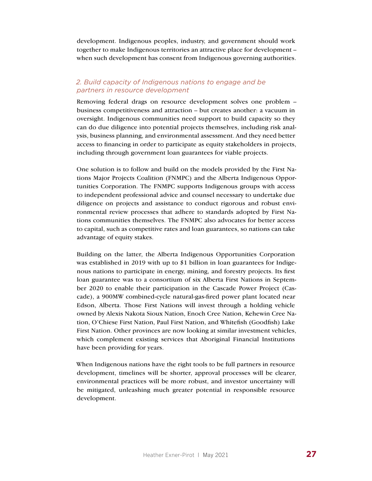development. Indigenous peoples, industry, and government should work together to make Indigenous territories an attractive place for development – when such development has consent from Indigenous governing authorities.

### *2. Build capacity of Indigenous nations to engage and be partners in resource development*

Removing federal drags on resource development solves one problem – business competitiveness and attraction – but creates another: a vacuum in oversight. Indigenous communities need support to build capacity so they can do due diligence into potential projects themselves, including risk analysis, business planning, and environmental assessment. And they need better access to financing in order to participate as equity stakeholders in projects, including through government loan guarantees for viable projects.

One solution is to follow and build on the models provided by the First Nations Major Projects Coalition (FNMPC) and the Alberta Indigenous Opportunities Corporation. The FNMPC supports Indigenous groups with access to independent professional advice and counsel necessary to undertake due diligence on projects and assistance to conduct rigorous and robust environmental review processes that adhere to standards adopted by First Nations communities themselves. The FNMPC also advocates for better access to capital, such as competitive rates and loan guarantees, so nations can take advantage of equity stakes.

Building on the latter, the Alberta Indigenous Opportunities Corporation was established in 2019 with up to \$1 billion in loan guarantees for Indigenous nations to participate in energy, mining, and forestry projects. Its first loan guarantee was to a consortium of six Alberta First Nations in September 2020 to enable their participation in the Cascade Power Project (Cascade), a 900MW combined-cycle natural-gas-fired power plant located near Edson, Alberta. Those First Nations will invest through a holding vehicle owned by Alexis Nakota Sioux Nation, Enoch Cree Nation, Kehewin Cree Nation, O'Chiese First Nation, Paul First Nation, and Whitefish (Goodfish) Lake First Nation. Other provinces are now looking at similar investment vehicles, which complement existing services that Aboriginal Financial Institutions have been providing for years.

When Indigenous nations have the right tools to be full partners in resource development, timelines will be shorter, approval processes will be clearer, environmental practices will be more robust, and investor uncertainty will be mitigated, unleashing much greater potential in responsible resource development.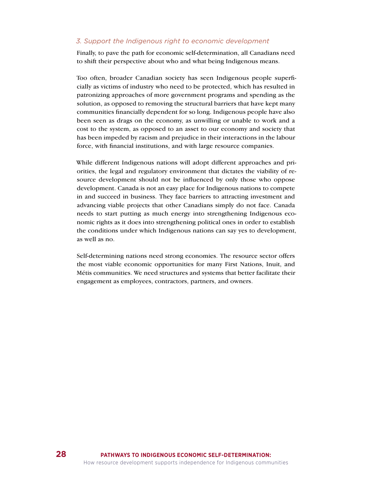#### *3. Support the Indigenous right to economic development*

Finally, to pave the path for economic self-determination, all Canadians need to shift their perspective about who and what being Indigenous means.

Too often, broader Canadian society has seen Indigenous people superficially as victims of industry who need to be protected, which has resulted in patronizing approaches of more government programs and spending as the solution, as opposed to removing the structural barriers that have kept many communities financially dependent for so long. Indigenous people have also been seen as drags on the economy, as unwilling or unable to work and a cost to the system, as opposed to an asset to our economy and society that has been impeded by racism and prejudice in their interactions in the labour force, with financial institutions, and with large resource companies.

While different Indigenous nations will adopt different approaches and priorities, the legal and regulatory environment that dictates the viability of resource development should not be influenced by only those who oppose development. Canada is not an easy place for Indigenous nations to compete in and succeed in business. They face barriers to attracting investment and advancing viable projects that other Canadians simply do not face. Canada needs to start putting as much energy into strengthening Indigenous economic rights as it does into strengthening political ones in order to establish the conditions under which Indigenous nations can say yes to development, as well as no.

Self-determining nations need strong economies. The resource sector offers the most viable economic opportunities for many First Nations, Inuit, and Métis communities. We need structures and systems that better facilitate their engagement as employees, contractors, partners, and owners.

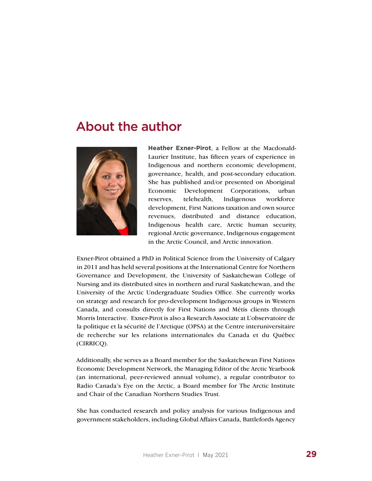### About the author



**Heather Exner-Pirot**, a Fellow at the Macdonald-Laurier Institute, has fifteen years of experience in Indigenous and northern economic development, governance, health, and post-secondary education. She has published and/or presented on Aboriginal Economic Development Corporations, urban reserves, telehealth, Indigenous workforce development, First Nations taxation and own source revenues, distributed and distance education, Indigenous health care, Arctic human security, regional Arctic governance, Indigenous engagement in the Arctic Council, and Arctic innovation.

Exner-Pirot obtained a PhD in Political Science from the University of Calgary in 2011 and has held several positions at the International Centre for Northern Governance and Development, the University of Saskatchewan College of Nursing and its distributed sites in northern and rural Saskatchewan, and the University of the Arctic Undergraduate Studies Office. She currently works on strategy and research for pro-development Indigenous groups in Western Canada, and consults directly for First Nations and Métis clients through Morris Interactive. Exner-Pirot is also a Research Associate at L'observatoire de la politique et la sécurité de l'Arctique (OPSA) at the Centre interuniversitaire de recherche sur les relations internationales du Canada et du Québec (CIRRICQ).

Additionally, she serves as a Board member for the Saskatchewan First Nations Economic Development Network, the Managing Editor of the Arctic Yearbook (an international, peer-reviewed annual volume), a regular contributor to Radio Canada's Eye on the Arctic, a Board member for The Arctic Institute and Chair of the Canadian Northern Studies Trust.

She has conducted research and policy analysis for various Indigenous and government stakeholders, including Global Affairs Canada, Battlefords Agency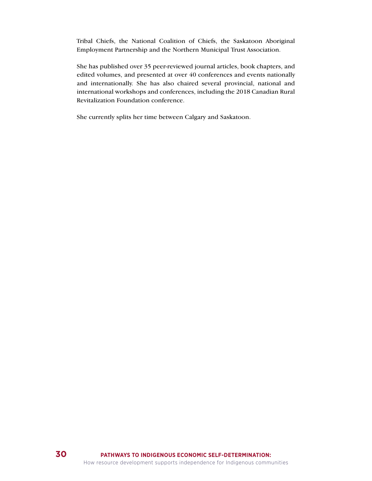Tribal Chiefs, the National Coalition of Chiefs, the Saskatoon Aboriginal Employment Partnership and the Northern Municipal Trust Association.

She has published over 35 peer-reviewed journal articles, book chapters, and edited volumes, and presented at over 40 conferences and events nationally and internationally. She has also chaired several provincial, national and international workshops and conferences, including the 2018 Canadian Rural Revitalization Foundation conference.

She currently splits her time between Calgary and Saskatoon.

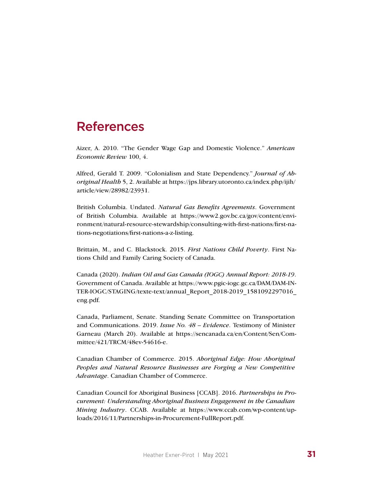### References

Aizer, A. 2010. "The Gender Wage Gap and Domestic Violence." *American Economic Review* 100, 4.

Alfred, Gerald T. 2009. "Colonialism and State Dependency." *Journal of Aboriginal Health* 5, 2. Available at https://jps.library.utoronto.ca/index.php/ijih/ article/view/28982/23931.

British Columbia. Undated. *Natural Gas Benefits Agreements*. Government of British Columbia. Available at https://www2.gov.bc.ca/gov/content/environment/natural-resource-stewardship/consulting-with-first-nations/first-nations-negotiations/first-nations-a-z-listing.

Brittain, M., and C. Blackstock. 2015. *First Nations Child Poverty*. First Nations Child and Family Caring Society of Canada.

Canada (2020). *Indian Oil and Gas Canada (IOGC) Annual Report: 2018-19*. Government of Canada. Available at https://www.pgic-iogc.gc.ca/DAM/DAM-IN-TER-IOGC/STAGING/texte-text/annual\_Report\_2018-2019\_1581092297016\_ eng.pdf.

Canada, Parliament, Senate. Standing Senate Committee on Transportation and Communications. 2019. *Issue No. 48 – Evidence*. Testimony of Minister Garneau (March 20). Available at https://sencanada.ca/en/Content/Sen/Committee/421/TRCM/48ev-54616-e.

Canadian Chamber of Commerce. 2015. *Aboriginal Edge: How Aboriginal Peoples and Natural Resource Businesses are Forging a New Competitive Advantage*. Canadian Chamber of Commerce.

Canadian Council for Aboriginal Business [CCAB]. 2016. *Partnerships in Procurement: Understanding Aboriginal Business Engagement in the Canadian Mining Industry*. CCAB. Available at https://www.ccab.com/wp-content/uploads/2016/11/Partnerships-in-Procurement-FullReport.pdf.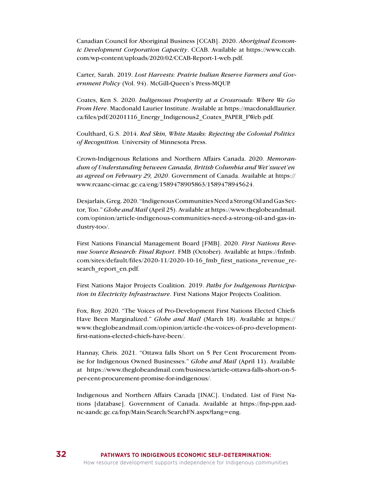Canadian Council for Aboriginal Business [CCAB]. 2020. *Aboriginal Economic Development Corporation Capacity*. CCAB. Available at https://www.ccab. com/wp-content/uploads/2020/02/CCAB-Report-1-web.pdf.

Carter, Sarah. 2019. *Lost Harvests: Prairie Indian Reserve Farmers and Government Policy* (Vol. 94). McGill-Queen's Press-MQUP.

Coates, Ken S. 2020. *Indigenous Prosperity at a Crossroads: Where We Go From Here*. Macdonald Laurier Institute. Available at https://macdonaldlaurier. ca/files/pdf/20201116\_Energy\_Indigenous2\_Coates\_PAPER\_FWeb.pdf.

Coulthard, G.S. 2014. *Red Skin, White Masks: Rejecting the Colonial Politics of Recognition.* University of Minnesota Press.

Crown-Indigenous Relations and Northern Affairs Canada. 2020. *Memorandum of Understanding between Canada, British Columbia and Wet'suwet'en as agreed on February 29, 2020*. Government of Canada. Available at https:// www.rcaanc-cirnac.gc.ca/eng/1589478905863/1589478945624.

Desjarlais, Greg. 2020. "Indigenous Communities Need a Strong Oil and Gas Sector, Too." *Globe and Mail* (April 25). Available at https://www.theglobeandmail. com/opinion/article-indigenous-communities-need-a-strong-oil-and-gas-industry-too/.

First Nations Financial Management Board [FMB]. 2020. *First Nations Revenue Source Research: Final Report*. FMB (October). Available at https://fnfmb. com/sites/default/files/2020-11/2020-10-16 fmb\_first\_nations\_revenue\_research report en.pdf.

First Nations Major Projects Coalition. 2019. *Paths for Indigenous Participation in Electricity Infrastructure*. First Nations Major Projects Coalition.

Fox, Roy. 2020. "The Voices of Pro-Development First Nations Elected Chiefs Have Been Marginalized." *Globe and Mail* (March 18). Available at https:// www.theglobeandmail.com/opinion/article-the-voices-of-pro-developmentfirst-nations-elected-chiefs-have-been/.

Hannay, Chris. 2021. "Ottawa falls Short on 5 Per Cent Procurement Promise for Indigenous Owned Businesses." *Globe and Mail* (April 11). Available at https://www.theglobeandmail.com/business/article-ottawa-falls-short-on-5 per-cent-procurement-promise-for-indigenous/.

Indigenous and Northern Affairs Canada [INAC]. Undated. List of First Nations [database]. Government of Canada. Available at https://fnp-ppn.aadnc-aandc.gc.ca/fnp/Main/Search/SearchFN.aspx?lang=eng.

**32**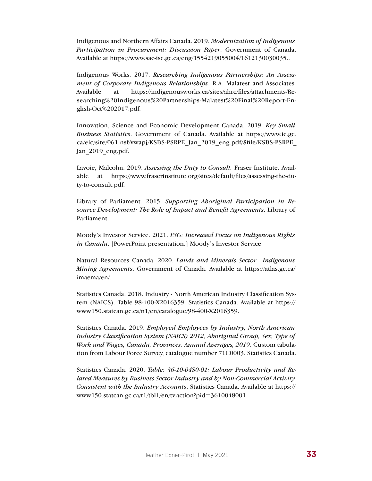Indigenous and Northern Affairs Canada. 2019. *Modernization of Indigenous Participation in Procurement: Discussion Paper*. Government of Canada. Available at https://www.sac-isc.gc.ca/eng/1554219055004/1612130030035..

Indigenous Works. 2017. *Researching Indigenous Partnerships: An Assessment of Corporate Indigenous Relationships*. R.A. Malatest and Associates. Available at https://indigenousworks.ca/sites/ahrc/files/attachments/Researching%20Indigenous%20Partnerships-Malatest%20Final%20Report-English-Oct%202017.pdf.

Innovation, Science and Economic Development Canada. 2019. *Key Small Business Statistics*. Government of Canada. Available at https://www.ic.gc. ca/eic/site/061.nsf/vwapj/KSBS-PSRPE\_Jan\_2019\_eng.pdf/\$file/KSBS-PSRPE\_ Jan 2019 eng.pdf.

Lavoie, Malcolm. 2019. *Assessing the Duty to Consult.* Fraser Institute. Available at https://www.fraserinstitute.org/sites/default/files/assessing-the-duty-to-consult.pdf.

Library of Parliament. 2015. *Supporting Aboriginal Participation in Resource Development: The Role of Impact and Benefit Agreements*. Library of Parliament.

Moody's Investor Service. 2021. *ESG: Increased Focus on Indigenous Rights in Canada*. [PowerPoint presentation.] Moody's Investor Service.

Natural Resources Canada. 2020. *Lands and Minerals Sector—Indigenous Mining Agreements*. Government of Canada. Available at https://atlas.gc.ca/ imaema/en/.

Statistics Canada. 2018. Industry - North American Industry Classification System (NAICS). Table 98-400-X2016359. Statistics Canada. Available at https:// www150.statcan.gc.ca/n1/en/catalogue/98-400-X2016359.

Statistics Canada. 2019. *Employed Employees by Industry, North American Industry Classification System (NAICS) 2012, Aboriginal Group, Sex, Type of Work and Wages, Canada, Provinces, Annual Averages, 2019*. Custom tabulation from Labour Force Survey, catalogue number 71C0003. Statistics Canada.

Statistics Canada. 2020. *Table: 36-10-0480-01: Labour Productivity and Related Measures by Business Sector Industry and by Non-Commercial Activity Consistent with the Industry Accounts*. Statistics Canada. Available at https:// www150.statcan.gc.ca/t1/tbl1/en/tv.action?pid=3610048001.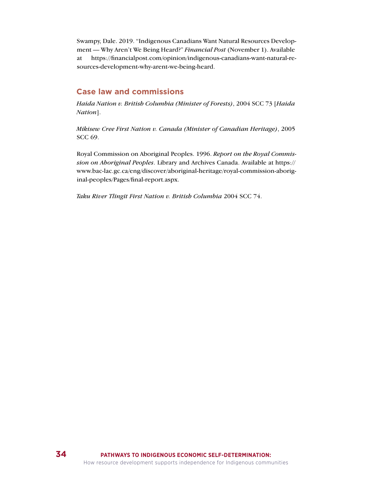Swampy, Dale. 2019. "Indigenous Canadians Want Natural Resources Development — Why Aren't We Being Heard?" *Financial Post* (November 1). Available at https://financialpost.com/opinion/indigenous-canadians-want-natural-resources-development-why-arent-we-being-heard.

### **Case law and commissions**

*Haida Nation v. British Columbia (Minister of Forests)*, 2004 SCC 73 [*Haida Nation*].

*Mikisew Cree First Nation v. Canada (Minister of Canadian Heritage)*, 2005 SCC 69.

Royal Commission on Aboriginal Peoples. 1996. *Report on the Royal Commission on Aboriginal Peoples*. Library and Archives Canada. Available at https:// www.bac-lac.gc.ca/eng/discover/aboriginal-heritage/royal-commission-aboriginal-peoples/Pages/final-report.aspx.

*Taku River Tlingit First Nation v. British Columbia* 2004 SCC 74.

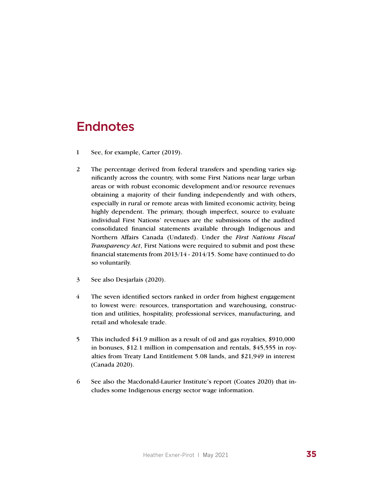## **Endnotes**

- 1 See, for example, Carter (2019).
- 2 The percentage derived from federal transfers and spending varies significantly across the country, with some First Nations near large urban areas or with robust economic development and/or resource revenues obtaining a majority of their funding independently and with others, especially in rural or remote areas with limited economic activity, being highly dependent. The primary, though imperfect, source to evaluate individual First Nations' revenues are the submissions of the audited consolidated financial statements available through Indigenous and Northern Affairs Canada (Undated). Under the *First Nations Fiscal Transparency Act*, First Nations were required to submit and post these financial statements from 2013/14 - 2014/15. Some have continued to do so voluntarily.
- 3 See also Desjarlais (2020).
- 4 The seven identified sectors ranked in order from highest engagement to lowest were: resources, transportation and warehousing, construction and utilities, hospitality, professional services, manufacturing, and retail and wholesale trade.
- 5 This included \$41.9 million as a result of oil and gas royalties, \$910,000 in bonuses, \$12.1 million in compensation and rentals, \$45,555 in royalties from Treaty Land Entitlement 5.08 lands, and \$21,949 in interest (Canada 2020).
- 6 See also the Macdonald-Laurier Institute's report (Coates 2020) that includes some Indigenous energy sector wage information.